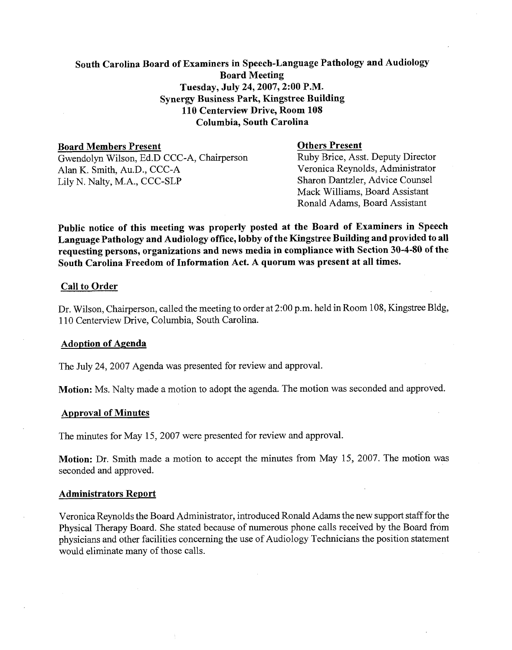# South Carolina Board of Examiners in Speech-Language Pathology and Audiology Board Meeting Tuesday, July 24,2007,2:00 P.M. Synergy Business Park, Kingstree Building 110 Centerview Drive, Room 108 Columbia, South Carolina

**Board Members Present**<br>
Gwendolyn Wilson, Ed.D CCC-A. Chairnerson<br>
Ruby Brice, Asst. Deputy Director

Lily N. Nalty, M.A.,  $CCC-SLP$ 

Gwendolyn Wilson, Ed.D CCC-A, Chairperson Ruby Brice, Asst. Deputy Director<br>Alan K. Smith. Au.D., CCC-A Veronica Reynolds, Administrator Alan K. Smith, Au.D., CCC-A<br>
I ily N Nalty M A CCC-SLP<br>
Sharon Dantzler. Advice Counsel Mack Williams, Board Assistant Ronald Adams, Board Assistant

Public notice of this meeting was properly posted at the Board of Examiners in Speech Language Pathology and Audiology office, lobby of the Kingstree Building and provided to all requesting persons, organizations and news media in compliance with Section 30-4-80 of the South Carolina Freedom of Information Act. A quorum was present at all times.

# Call to Order

Dr. Wilson, Chairperson, called the meeting to order at 2:00 p.m. held in Room 108, Kingstree Bldg, 1 10 Centerview Drive, Columbia, South Carolina.

# Adoption of Agenda

The July 24, 2007 Agenda was presented for review and approval.

Motion: Ms. Nalty made a motion to adopt the agenda. The motion was seconded and approved.

#### Approval of Minutes

The minutes for May 15, 2007 were presented for review and approval.

Motion: Dr. Smith made a motion to accept the minutes from May 15, 2007. The motion was seconded and approved.

#### Administrators Report

Veronica Reynolds the Board Administrator, introduced Ronald Adams the new support staff for the Physical Therapy Board. She stated because of numerous phone calls received by the Board from physicians and other facilities concerning the use of Audiology Technicians the position statement would eliminate many of those calls.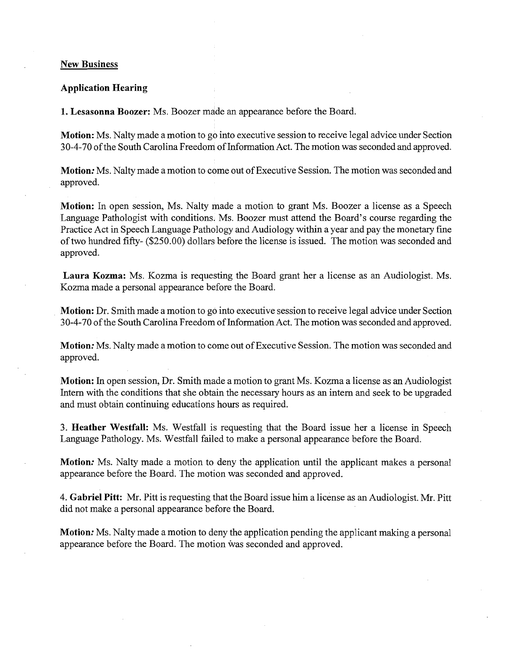#### **New Business**

#### **Application Hearing**

**1. Lesasonna Boozer:** Ms. Boozer made an appearance before the Board.

**Motion:** Ms. Nalty made a motion to go into executive session to receive legal advice under Section 30-4-70 of the South Carolina Freedom of Information Act. The motion was seconded and approved.

**Motion:** Ms. Nalty made a motion to come out of Executive Session. The motion was seconded and approved.

**Motion:** In open session, Ms. Nalty made a motion to grant Ms. Boozer a license as a Speech Language Pathologist with conditions. Ms. Boozer must attend the Board's course regarding the Practice Act in Speech Language Pathology and Audiology within a year and pay the monetary fine of two hundred fifty- (\$250.00) dollars before the license is issued. The motion was seconded and approved.

**Laura Kozma:** Ms. Kozma is requesting the Board grant her a license as an Audiologist. Ms. Kozma made a personal appearance before the Board.

**Motion:** Dr. Smith made a motion to go into executive session to receive legal advice under Section 30-4-70 of the South Carolina Freedom of Information Act. The motion was seconded and approved.

**Motion:** Ms. Nalty made a motion to come out of Executive Session. The motion was seconded and approved.

**Motion:** In open session, Dr. Smith made a motion to grant Ms. Kozma a license as an Audiologist Intern with the conditions that she obtain the necessary hours as an intern and seek to be upgraded and must obtain continuing educations hours as required.

3. **Heather Westfall:** Ms. Westfall is requesting that the Board issue her a license in Speech Language Pathology. Ms. Westfall failed to make a personal appearance before the Board.

**Motion:** Ms. Nalty made a motion to deny the application until the applicant makes a personal appearance before the Board. The motion was seconded and approved.

4. **Gabriel Pitt:** Mr. Pitt is requesting that the Board issue him a license as an Audiologist. Mr. Pitt did not make a personal appearance before the Board.

**Motion:** Ms. Nalty made a motion to deny the application pending the applicant making a personal appearance before the Board. The motion was seconded and approved.